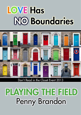# LOVE Has **NO Boundaries**



Don't Read in the Closet Event 2013

## PLAYING THE FIELD Penny Brandon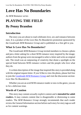## **Love Has No Boundaries**

#### *An M/M Romance series*

### **PLAYING THE FIELD By Penny Brandon**

#### **Introduction**

The story you are about to read celebrates love, sex and romance between men. It is a product of the *Love Has No Boundaries* promotion sponsored by the *Goodreads M/M Romance Group* and is published as a free gift to you.

#### **What Is Love Has No Boundaries?**

The *Goodreads M/M Romance Group* invited members to choose a photo and pen a letter asking for a short M/M romance story inspired by the image; authors from the group were encouraged to select a letter and write an original tale. The result was an outpouring of creativity that shone a spotlight on the special bond between M/M romance writers and the people who love what they do.

A written description of the image that inspired this story is provided along with the original request letter. If you'd like to view the photo, please feel free to join the [Goodreads M/M Romance Group](http://www.goodreads.com/group/show/20149-m-m-romance) and visit the discussion section: *Love Has No Boundaries*.

Whether you are an avid M/M romance reader or new to the genre, you are in for a delicious treat.

#### **Words of Caution**

This story may contain sexually explicit content and is **intended for adult readers.** It may contain content that is disagreeable or distressing to some readers. The *M/M Romance Group* strongly recommends that each reader review the General Information section before each story for story tags as well as for content warnings.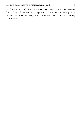This story is a work of fiction. Names, characters, places and incidents are the products of the author's imagination or are used fictitiously. Any resemblance to actual events, locales, or persons, living or dead, is entirely coincidental.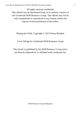All rights reserved worldwide. This eBook may be distributed freely in its entirety courtesy of the *Goodreads M/M Romance Group*. This eBook may not be sold, manipulated or reproduced in any format without the express written permission of the author.

Playing the Field, Copyright © 2013 Penny Brandon

Cover Design by Goodreads M/M Romance Group

This ebook is published by the *M/M Romance Group* and is not directly endorsed by or affiliated with Goodreads Inc.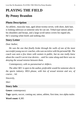## **PLAYING THE FIELD By Penny Brandon**

#### **Photo Description**

An athletic, muscular man, aged about twenty-seven, with short, dark hair, is looking sideways at someone only he can see. Tribal-type tattoos adorn his shoulders and biceps, and a large scroll tattoo covers his ripped abs. He's wearing white briefs and nothing else.

#### **Story Letter**

#### *Dear Author,*

*He was the one that finally broke through the walls of one of the most successful young soccer coaches, who wassecretive with his personal life. The coach was seen a few times with women in public, but no one really knew about the coach's secret true desires… until he came along and there was no denying the sexual tension between them.*

*Contemporary, with no paranormal or shifters.*

*The other M/C is open to the author, preferable would be someone also in the sports industry. HEA please, with lots of sexual tension and sex, of course… lol.*

*Sincerely,*

*Shiri*

#### **Story Info**

**Genre:** contemporary

**Tags:** sports, soccer, coming out, tattoo, athlete, first time, two alpha males

**Word count:** 8,385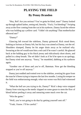## **PLAYING THE FIELD By Penny Brandon**

"Hey, Ref! Are you serious? You've gotta be blind, man!" Danny looked up through spiked lashes, seeing red, literally. "Fuck, I'm bleeding!" Swiping away at the flow coming from the cut in his eyebrow, Danny faced the referee who was holding up a yellow card. "I didn't do anything! That motherfucker elbowed me!"

"Danny!"

Glancing left toward the sidelines, Danny grimaced. Rick stood there, looking as furious as Danny felt, but his fury was aimed at Danny, not the ref. Shoulders slumped, Danny let his anger drain away as he realized why. Swearing at the ref would earn him a red card if he wasn't careful. He glanced back at the balding guy in his black jersey and ridiculously short shorts, and pulled in a deep breath. The ref didn't look as if he'd be open to an apology, but Danny tried one anyway. "Sorry," he mumbled, dabbing at his eyebrow again.

"Another one of these and you're off, Bateman. Now get the bleeding stopped or you're off anyway."

Danny just nodded and trotted over to the sideline, averting his gaze from the man he'd been trying to impress the last few months. Losing his temper on the field was embarrassing enough; what was worse was Rick had witnessed it.

"What the hell are you trying to do, Danny?" Rick's deep voice stopped Danny from wincing as the medic slapped on some gauze to stem the flow of blood before peeling it away and smearing some muck over the cut.

"Win the game."

"Well, you're not going to do that by getting yourself sent off."

"Yeah, I know. I'll be careful."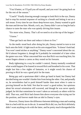"You'd better, or I'll pull you off myself, and you won't be going back on for the rest of the season."

"Coach!" Finally drawing enough courage to look Rick in the eye, Danny had to stop his normal response of sucking in a breath and letting it out on a soft moan. Every time he saw those deep-brown eyes, Danny wanted to grab the man and devour him. Mouth, cock, ass, Danny didn't care as long he had a chance to taste the man who was quietly driving him insane.

"Six more wins, Danny. That's all we need to sit at the top of the league."

"I know."

"Then get back out there and reduce it down to five."

As the medic stood back after doing his job, Danny started to turn to trot back onto the field. A light touch on his arm stopped him. "It doesn't look bad. You won't need stiches or anything." Danny wasn't concerned about the cut. He'd almost forgotten it, though he'd probably be reminded of it later when the game was over. What concerned him was that Rick was touching him; his warm fingers almost a caress as they rested on his forearm.

Body tightening in a way he couldn't control, Danny mentally wondered what would happen if he leaned in toward Rick and breathed in his scent. That might last him a few nights of fantasies, or it might wreck his chance of proving to Rick he was a good pick for the team.

Being gay and a sportsman didn't often go hand in hand, but Danny had decided being one wouldn't hinder him from being the other. Out, and proudly so, he nevertheless had to push himself harder than most when it came to proving himself on the field. Not that he wasn't a good striker, but opinions about his sexual orientation still wavered, and though he was never openly judged, he felt that sometimes he wasn't taken as seriously as others with his skill. That was, until Rick had chosen him above everyone else trying out for the position, and forever made him an idol in Danny's eyes.

However, Danny knew the difference between idolizing a man and wanting him in a bed with his ass in the air. It seemed Rick did, too, but Rick definitely didn't want anything to do with the latter, and he pretty much disregarded the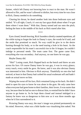former, which left Danny not knowing how to react to the man. He wasn't allowed to flirt, and he wasn't allowed to idolize, but every time he was close to Rick, Danny needed to do something.

Clearing his throat, he dared another look into those bedroom eyes and smiled. "It's all right, Coach, it's not my face guys think about when I've got them where I want them." With that, Danny turned and ran onto the pitch, feeling the burn in the middle of his back as Rick stared after him.

\*\*\*\*

Eyes closed, breath heaving, Rick Saunderssilently counted repetitions, all the while trying to forget the look in Danny's eyes, the words he'd said, and the smile that promised so much. No way could he give in to the desire burning through his body, or to the need tearing a hole in his heart. As the coach responsible for his team's successful rise in the A-league, he couldn't indulge in personal needs. The team came first. The game came first; everything else was secondary. And anyway, no one knew he was gay.

Maybe Danny did.

"Shit!" Losing count, Rick flopped back on the bench and threw an arm across his face. Of course Danny knew he was gay, it was in every glance, every touch, every smile he gave. He knew, and it was also obvious Danny was interested in him. Obvious to Rick anyway. Thankfully no one else had noticed; at least in that Danny had curbed his usual exuberant self and hadn't made an actual move on him.

Wiping the sweat off his face, Rick remained lying on his back. He didn't need to open his eyes to know he was alone in the gym. He only came here when everyone had gone home to their families, their lovers. It was easier that way, because then he had no one to distract him, to remind him he didn't have anyone to go home to. So he kept them closed and instead indulged in a fantasy he knew was as dangerous to him now as it was three months ago when he'd first surrendered to it.

Picturing Danny was easy; the man's image was printed permanently on his mind. However, what was a little harder was visualising him naked. Not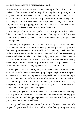because Rick had a problem with Danny standing in front of him with no clothes on, but because he had no way of knowing how long Danny's cock was, how it would look when hard, how Danny would wrap a hand around it and stroke himself. All that was pure imagination. Thankfully hisimagination was pretty vivid, so he drew upon it now and pretended Danny was straddling him, his cock already dripping, that smile on his face, and the same desire in his eyes Rick had seen aimed his way more than once.

Reaching into his shorts, Rick pulled on his dick, getting it hard, which didn't take more than a few seconds, not with the way he could almost see Danny leaning over him, closing the distance between them, bringing their cocks together.

Groaning, Rick pushed his shorts out of the way and moved his hand faster. He arched his back, muscles tensing, his feet planted firmly on the floor. Danny's scent seemed to surround him, that fresh tang which came from hard exercise, mixed with a dark musk Rick assumed would be the wayDanny would smell when turned on. He licked his lips, tasting salt, and wondered if that would be the way Danny would taste. He also wondered how Danny would feel, but before he could imagine more than just the tip of Danny's cock sliding into his mouth, his body tightened, his orgasm imminent.

Having never experienced anything other than the touch of his own hand, Rick still wanted to believe it was Danny's palm gripping him, pleasuring him, and it was that last phantom impression that tipped him over. A familiar tingle shot down his spine just before another familiar sensation hit his stomach and chest. Holding back on a cry of completion, Rick still moaned, softly whispering Danny's name—cutting it off abruptly the instant he heard the distinct click of the gym's door falling shut.

Snapping his eyes open, Rick almost fell off the bench as he hastily sat up, scouring the room to see who had entered. The room remained empty of everything but him and the gym equipment. No one else was there, yet Rick quickly realized someone had been.

Cursing, with fear pumping adrenalin into him far faster than any cliffhanger of a game ever had, Rick scrambled to his feet. Ignoring the sticky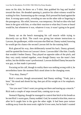mess on his skin, he threw on a T-shirt, then grabbed his bag and headed toward the door. He dreaded opening it, positive his silent witness would be waiting for him. Summoning up the courage, Rick pressed his hand against the door. It swung open easily, revealing no one on the other side or lingering in the passageway. His relief, however, was temporary. He had no idea who had been in the gym with him, or what their reaction to what they'd seen or heard would be, but whomever it was, whatever it was; it wasn't going to be good.

\*\*\*\*

Danny sat on the bench massaging his calf muscle while trying to discreetly eye up Rick. The coach was giving last minute instructions to Lawson, the goalkeeper, while everyone else filed out. Dannywaited, knowing he would get his chance the second Lawson left for the training field.

Rick glanced his way, then deliberately turned his back. Danny grinned, until he spotted the frown on Lawson's brow. Lawson didn't like him. Usually that wouldn't bother Danny. They played on opposite sides of the pitch, and they very rarely trained together, even though Danny was the team's best striker, but the dislike wasn't professional. Lawson disliked Danny because he was gay, so that made it personal.

Focusing on his calf, though in reality there was nothing wrong with it, he nevertheless knew the moment Rick stood alone in the changing room.

"You okay, Danny?"

Rick's concern, though unwarranted, had Danny smiling. "Yeah, just a knot." He stood and shook his leg, then put all his weight on it for emphasis. "It's fine."

"Are you sure? I don't want you going out there and tearing up a muscle." Rick took a couple of steps toward him, coming eye to eye.

Stomach flipping, though he managed to control that hitch in his breath as he met Rick's warm gaze, Danny nodded. God, he wanted to kiss him, more so after he'd caught him in the gym the other night. It had been pure torture walking away from the most erotic sight he'd ever seen, but he hadn't wanted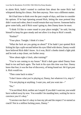to alarm Rick, hadn't wanted to confront him about the name Rick had whispered during his climax. Not then anyway. Now was a different matter.

He'd had time to think over the past couple of days, and time to consider his options. If he kept tiptoeing around Rick, letting the man pretend they didn't want each other, then it would remain that way forever. Someone had to grow some balls, and if Rick wasn't going to, then Danny knew he must.

"I think I'd like to come round to your place tonight," he said, forcing himself to keep his gaze steady and not allow it to drop to Rick's mouth.

"Pardon?"

"Your place. Tonight. I think it's time."

"What the fuck are you going on about?" If he hadn't just spotted Rick licking his lips a split-second before his eyes filled with desire, Danny would have believed Rick didn't know. As it was, Rick's cheeks tinted a light pink and he took a step closer, not further away.

"How about eight o'clock, after training?"

"You're not coming to my house." Rick's dark gaze raked Danny from head to toe and back again. The look in his eyes this time was fear. Danny knew that fear; it was the fear of discovery, of being found out. He'd got past it. Rick would too.

"Then come back to mine."

"I don't know what you're playing at, Danny, but whatever it is, stop it."

"I'm not playing at anything. I want you, and you want me—"

"No."

"I'm not blind, Rick; neither am Istupid. If you didn't want me, you would have walked away by now. You wouldn't be standing here, waiting for me to convince you it's okay."

"Convince me that it's okay to lose my job and the respect I've earned as coach? Not in a million fucking years, Danny."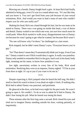Blowing out a breath, Danny fought back a grin. At least Rick had finally admitted to being gay, even if it was in a round-about way. "It's not like that, and you know it. You can't get fired from your job because of your sexual orientation, Rick. And would you want to lead a team of men who couldn't respect you for who you really are?"

Shaking his head, Rick ran a hand through his hair, but he was mute as he stared at Danny. There was a war going on inside that head, a war of desire and denial. Danny waited to see which one won, not sure how much more he could push. When Rick started to walk away, disappointment tore at Danny; not because he wasn't going to get what he wanted, but because Rick wasn't.

"No one will know why I'm there," he challenged as a last resort.

Rick stopped, but he didn't meet Danny's eyes. "Everyone knows you're gay."

"So? That doesn't mean they'll automatically think you're gay. Even if you are." Danny waited to see if Rick would deny it again. It really was pointless. Danny only needed to remember Rick in the gym, hard cock in his hand, body tight, moaning out his name, to know how pointless it was.

Jaw tight, uncertainty written in every line of his body, Rick stood motionless. Realizing they were at an impasse, Danny sighed. "I'll be at your front door at eight. It's up to you if you want to let me in."

\*\*\*\*

Despite expecting it, Rick jumped when he heard the bell ring. He didn't need to check his watch to know it was dead-on eight o'clock. If nothing else, Rick had to admit Danny was punctual, and persistent.

He glanced at the door, as he had every night for the past week. He wasn't going to open it. He couldn't. To do so was to admit he'd lied to Danny. He didn't fear losing his job. What he feared was losing his heart.

Three minutes after the first ring came a second. Rick closed his eyes and tried not to imagine Danny standing outside his door, waiting patiently, or impatiently.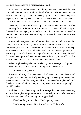It had been impossible to avoid him during the week. Their work day was intricately interwoven, but Rick had done his best not to be alone with him, or to look at him directly. Yet he'd felt Danny's gaze on him whenever they were together, as hot and as potent as a physical caress, causing his skin to pebble, his heart to beat faster, and his groin to tighten in ways he couldn't control.

"Dammit, Danny, stop. Please stop." His whispered entreaty came after Danny rang for a third time. Another minute and Danny would walk away. In the week he'd been trying to persuade Rick to allow him in, that had been his routine. That minute was always the longest, because that was when Rick was at his weakest.

He wanted Danny—wanted to kiss him, hold him, touch him, wanted to plunge into his utmost fantasy, one which had continuously built over the past few months, but one which he knew could never be fulfilled. Insecurities kept Rick rooted to the spot, even when he heard Danny's retreating footsteps. It took every ounce of willpower not to go after him, to not succumb to the need that tested every personal restraint he'd ever inflicted upon himself. But this wasn't about a physical need; it was about an emotional one.

When his phone beeped to indicate he'd gotten a message, Rick picked it up, hesitating only a second before reading what had been sent.

#### *Can we just talk, please?*

It was from Danny. For some reason, Rick wasn't surprised Danny had changed tactics, but this could only be a delaying one. Danny'sinterest in him wouldn't last. Eventually Danny would find someone else to play with, and then he'd leave Rick alone. That, however, wasn't the comforting thought it should have been.

Rick knew it was best to ignore the message, but there was something about it that implied desperation, as if Danny really didn't understand why Rick was saying no to him. Giving in, he typed back.

*There's nothing to talk about. You've got my answer. It's the wrong answer, Rick. Just talk to me. Tell me why.*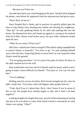#### *Because you'll hurt me.*

Seconds later there was a loud banging on the door. Startled, Rick dropped his phone, even before he registered what his subconscious had given away.

"Rick! Rick, let me in."

Panic flooded Rick's limbs, and in reaction, he quickly pulled open the door to stop Danny from shouting any further and alerting the neighbours. "Shut up!" he said, grabbing Danny by his shirt and yanking him into the house. He slammed the door and leaned up against it, cursing as he realized what he'd done. Danny stood inches away, his eyes wide, confusion etched upon his face.

"What do you mean I'll hurt you?"

Shit! How could he have been so stupid? What idiotic thing compelled him to answer Danny so honestly? "You have to go," he said, pushing himself away from the door. Expecting Danny to move back, he was surprised when Danny stood his ground.

"I'm not going anywhere." As if to prove his point, he threw his keys on the table situated next to the wall.

Rick wished that were true, but he'd already said too much, and he wasn't going to make it more difficult for himself. "You have to. You can't be seen here."

"You're kidding."

Holding onto his excuse of earlier, Rick forced strength into his voice he didn't really feel. "You know what will happen when people find out."

"Yeah, they'll say it's about time. Rick, I don't know if you're aware of this or not, but people have already begun to talk, and it hasn't all been negative."

Looking straight into bright-blue eyes, eyes he'd been dreaming of staring into just as he was about to come, Rick found it hard to concentrate on what Danny was saying. "What?"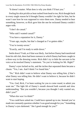"It doesn't matter. What does is why you think I'll hurt you."

Feeling hisskin prickle as heat rushed from head to toe, Rick thought back to every single reason he'd thought Danny wouldn't be right for him, but he wasn't sure how he was supposed to voice them now. Danny needed to hear something, however, so Rick gave him the one he reckoned Danny couldn't argue with.

"I don't do casual."

"Who said I wanted casual?"

"You have a reputation for it, Danny."

"Years ago, maybe, but that's changed as I've gotten older."

"You're twenty-seven."

"Exactly, and I'm ready to settle down."

Settle down? Yeah, as if that was likely. Just before Danny had transferred from his old club, there had been rumours in which Danny had been caught in a three-way in the dressing rooms. Rick didn't try to hide the sarcasm in his voice as he mocked Danny's statement. "So you're looking for Mr. Right?"

Danny's eyes locked on his, and the inches that separated them became a chasm. "Yes, I am. And I think I've found him."

"No." Rick didn't want to believe what Danny was telling him, *if* that's what Danny was telling him. He didn't want to believe it, because he didn't want to start hoping.

"Yes. God, Rick, I've been waiting for you to come round, to admit you want me." The light lift of Danny's mouth showed both warmth and slow understanding. "But you wouldn't, because you thought I only wanted sex, didn't you?"

"What else was I to think?"

"You could have asked me. Could have opened up to me. Instead you've made me constantly question whether I was good enough for you." Something in Danny's eyes darkened. "*Am* I good enough for you?"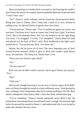Heart not beating to a rhythm Rick was used to, but knowing he couldn't give Danny the answer he wanted, what he probably deserved, he prevaricated. "I don't know you."

"No?" Danny's smile widened, and he closed the chasm between them. Being this close to Danny, Rick's body had a mind of its own. Instead of pulling away, he allowed Danny to gently draw him closer.

"You picked me," Danny said. "You've studied my game, my tactics, my reactions. You know how I work in a team, how I lead, how I play. You know I don't like to let anybody down, that I try my hardest to do the right thing. You know I've struggled, I've hurt, I've triumphed." Danny lifted his hand and placed it at the back of Rick's neck. Rick shuddered at the light touch, leaned into it. "You picked me, Rick. You know me."

Maybe, but did he know all of him? The most important part of him? Scared beyond measure, afraid to give in, Rick still couldn't push Danny away, not anymore. The thing was, Danny knew it too.

"Have you ever kissed a man, Rick?"

"No."

"Do you want to?"

Rick was sure he didn't need to answer, but he gave Danny one anyway. "Yes."

"Me?"

"Only you."

Still scared, though knowing it was do now or forever regret, Rick didn't move as Danny brought his mouth to a bare millimetre away. Anticipating his kiss, wanting it more desperately than he'd wanted anything in his life, Rick almost whimpered when Danny didn't close that final, infinitesimal gap.

"You're trembling." Danny's breath whispered across Rick's lips. He licked them, but tasting Danny second hand wasn't enough. He moaned, right before he pressed his mouth to Danny's, and understood why it was he had to make that ultimate decisive move.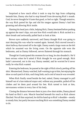#### \*\*\*\*

Surprised at how much effort it took to stop his legs from collapsing beneath him, Danny also had to stop himself from devouring Rick's mouth. God, he never thought he'd taste that good, or feel so right. Though tentative, the way Rick parted his lips and slid his tongue against Danny's had him groaning and allowing Rick inside.

Slanting his head just a little, helping Rick, Danny hesitated before pushing up against the man's hips, not sure how Rick would take it. Rick sucked in a short breath and awkwardly pulled back to look at him.

Brown eyes suddenly narrowed, and Danny thought Rick was going to start denying this was what he wanted again. Instead, Rick moved toward a short hallway that turned off to the right. Danny noted a large room on the left which he assumed was the living room. On the opposite side were the bedrooms, and as Danny followed, nerves fluttered through his stomach.

Though he'd anticipated this moment for so long, he also dreaded it. He'd been serious when he'd asked if Rick thought he was good enough. Rick hadn't answered, not in the way Danny needed, and he worried he'd never really be what Rick wanted.

Entering the bedroom, he paused at the sight of Rick slowly peeling off his shirt. Mesmerised, Danny watched, half-wanting to go to him, but enjoying the show as each patch of skin, each long limb, each cord of muscle was revealed.

When Rick finally stood beside the bed, naked, Danny managed to pull himself out of a lust-induced stupor and, without any preamble, pulled off his clothes and let them pool around his feet. Rick turned to look at him, nervousness written in every line of his body.

Closing the distance between them in just a few short strides, Danny placed his hand on Rick's arm. Muscle bunched beneath his touch as Rick almost flinched. Not all that surprised, he slid his hand up to Rick's shoulder—mostly to steady him, but partly because touching Rick wassomething Danny needed to do.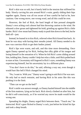Rick's skin was so soft, but it barely held in the tension that stiffened his body. Slowly curving his arm around Rick's waist, gently sliding their hips together again, Danny was all too aware of how careful he had to be, how cautious. One wrong move, one wrong word, and all this could be over.

However, the feel of Rick, the hard length of him pressed alongside Danny's own aching cock almost had him throwing caution to the wind. He released a slow groan and tightened his hold, grinding up against Rick a little harder. Rick's low moan had Danny ready to push him down to the bed, but he held off—just.

Instead, he leaned in to kiss Rick, relieved when Rick kissed him back. At least he was okay with having their mouths joined. All Danny needed to do now was convince Rick to get their bodies joined.

Rick's lips were warm, and soft, and this time more demanding. Once again Danny opened up for Rick, feeling that silky glide of his tongue and losing himself in the sensation of it. When he felt Rick's arms sliding around him, holding him, Danny couldn't help but relax a little, until Rick pulled back to stare at him. Uncertainty still lingered in Rick's eyes, something Danny was experiencing himself, but his uncertainty lay in a different place.

"You don't have to do this," he said, offering a way out, even though it would hurt like hell if Rick changed his mind.

"No, I want to. With you." Danny wasn't going to ask Rick if he was sure. He only had so much restraint, and having Rick in his arms like this was pushing it to the limit.

"Then can we get on the bed?"

Rick's smile was answer enough, so Danny hauled himself into the middle of the firm mattress, lying on his back. Rick slowly climbed on after him, but he did it self-consciously, as if he worried any move he made would be the wrong one.

Spreading his thighs, Danny urged Rick between them. "Touch me," he instructed. Rick's gaze flicked to Danny's cock, just before he licked his lips and took a deep breath.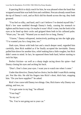Expecting Rick to shyly reach for him, he was pleased when the hand that wrapped around him was both firm and confident. Precum already oozed from the tip of Danny's cock, and as Rick slid his thumb across the top, they both groaned.

"You feel so silky, and hard, and I can't believe I've denied myself this." Rick's low tone rumbled through Danny's body, causing his stomach to tighten and his heart to trip. Or maybe it wasn't Rick'stone, but the look in his eyes as he lined up their cocks and gripped them both in his callused palm. "Want you," he said. "Wanted you so much for so long, Danny."

"I know," Danny whispered, instinctively pushing up into the tight grip. "I've wanted you for a long time, too."

Dark eyes, blown with both lust and a much deeper need, regarded him carefully, then Rick nodded as if he finally accepted the inevitable. Danny pulled him down for another kiss, relief making him a little rougher, but Rick didn't seem to mind. In fact, he squeezed them both hard, before starting to rock his hips.

Perfect friction—as well as a sharp tingle racing down his spine—had Danny closing his eyes and arching his back.

"Don't. Don't close your eyes. I want you to watch me when I come."

Under that directive, Danny had no choice, but he didn't want Rick coming yet. Not like this. He slid his fingers into Rick's short, thick hair, stopping him. "Do you have supplies?" he asked.

Rick's low curse told Danny two things. One, Rick knew why Danny was asking, and two, no.

"I've got some in my bag," he offered.

"Your bag?"

"In my car."

"No. You're not going out to your car."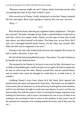"Because someone might see me?" Danny asked, knowing exactly what was putting that look of fear back in Rick's eyes.

Rick moved out of Danny's hold, sitting back on the bed. Danny instantly felt loss and regret. Rick wasn't going to continue this, not now, not ever.

"Rick—"

\*\*\*\*

Rick shook his head, silencing any argument Danny might have. "Just give me a second." He hadn't thought of that, hadn't realized Danny would want to fuck him, which was stupid, really. Danny was the type of man who would take others, not allow himself to be taken. The thing was, so was Rick. He'd only ever envisaged himself inside Danny, not the other way around. Shit. What the hell was he supposed to do now?

Staring at the man who looked both stricken and resigned, Rick knew he had to make a decision. A new one.

He slid off the bed and grabbed his jeans. "Stay there," he said to Danny as he headed out the bedroom door.

The moment he let Danny in, he knew it was over for him. Resistance was asfutile as him thinking he could ever play soccer again. He had accepted one; he may as well accept the other. Danny wanted him, and he wanted Danny, and no matter how much he thought he could deny it, or hide from it, he couldn't.

Grabbing Danny's keys from where he'd left them, Rick ignored the prickle down his spine and opened his front door. The house was secluded to some extent, but an unknown car in his driveway would garner some attention, and if it was left there all night it would start speculation. It wasn't as if he was newsworthy, but with the team so close to winning the league, reporters were looking for interviews, and it wasn't uncommon for one or two of them to be waiting in the morning for him to arrive at the stadium. It also wasn't out of the question for someone to be waiting outside his house, and if they saw the car…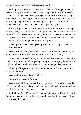Pushing back the fear of discovery, and the look of disappointment he'd seen in Danny's eyes when he'd moved away from him, Rick opened up Danny's car and grabbed the bag sitting on the front seat. He almost laughed as he realized Danny had packed for an overnight stay. Even after a week of Rick not opening the door to him, Danny hadn't given up. Rick should have known he wouldn't; he never gave up when playing a game.

Pausing, bag in hand, Rick had to stop himself from taking that last thought to heart. Danny had said he wasn't playing with him, that he wasn't just after a casual affair, that he was after something more. Rick wanted to believe him; he had to, because if he went through with this and was dumped, he wasn't sure if he'd ever have the strength to try this with anyone else.

Trusting his instincts, trusting Danny, Rick locked Danny's car and headed back to the house.

Danny was still sitting on the bed where Rick had left him, tension etched across his face. Rick smiled, feeling his own tension drop away.

"Here." Rick dropped the bag on the bed and waited while Danny took a moment to stare at him before opening the bag and rummaging through it. He produced a bottle of lube and a box of condoms, and put them beside him.

Slipping off his jeans again, Rick crawled back onto the bed. "How do you want me?" he asked.

Danny's blue eyes widened. "What?"

"I assume you want to fuck me."

Danny laughed, the sound as full and as genuine as Rick had ever heard it. "Oh, I want to fuck you all right, and trust me, I could really make it good for you, but I think, this time, my ass is yours."

Rick almost fell off the bed. Danny was giving himself up? For him? Before he could question it, Danny pressed a condom in his hand. "I'll get myself ready for you," he said.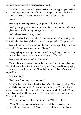Not able to move, awestruck, he watched as Danny snapped open the lube and poured a generous amount of it onto his fingers. He nearly let his draw drop open as Danny started to thrust his fingers into his own ass.

"Jesus!"

Danny's grin was augmented by his groan. "Glove up, Rick."

Quickly changing focus, Rick ripped open the condom packet, and after a couple of seconds of fumbling managed to roll it on.

On hands and knees, Danny waited.

Realizing what this meant, what Danny was showing him, giving him, Rick laid a hand on Danny's back. "I won't hurt you either," he promised.

Danny looked over his shoulder, the light in his eyes bright and as beautiful as Danny was proving to be. "I know."

Changing his position to put himself behind Danny, lining himself up, Rick had to work hard to stop his knees from giving way. "Danny."

Danny was still looking at him. "Go for it."

Not sure how he managed to control the urge to simply thrust in hard and deep, Rick took subtle directions from Danny and slowly eased inside, praying he wasn't going to fuck this up. About halfway there, Danny's low groan stopped him.

"Are you okay?"

"Fuck, yes. Don't stop, keep on going."

Gripping Danny's hips, following Danny's order, and grinning, Rick pressed in harder, until he didn't have another inch to give. He looked down at where they were joined, not quite able to believe he was buried inside Danny, or that Danny allowed him to be there. He felt so tight, so hot, and better than Rick ever imagined.

"You going to move, or just admire the view?" Danny quipped.

"Move," he answered, but as he pulled outslightly, he couldn't help but be distracted by the long length of Danny's back, and the way it arched when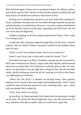Rick slid home again. Danny was in top physical shape. Fit, athletic, perfect, and as Rick explored the contours of that smooth expanse of tanned skin and hard muscle, he decided he wanted so much more of him.

Picking up on a rhythm that seemed to suit them both, Rick continued to move, sometimes slowing when the incredible feelings mounted too quickly and threatened to overwhelm him. However, it was just a matter of time before an all-too-familiar tension started deep, expanding until Rick knew the end was closer than the beginning.

Suddenly stopping, he forced a surprised grunt from Danny. "Don't stop, I'm fucking close!"

A hard, fast rush of pleasure rippled through Rick, but this wasn't what he wanted, what he needed. Without warning he pulled out and pushed Danny onto his back.

"Want to watch you coming, Danny. Want you to watch me."

Danny's eyes lit up, and a warm smile curved his mouth. "Yes."

He hooked his legs over Rick's shoulders, putting himself into position. Rick took a moment to eye Danny'simpeccable chest and abs, and the unusual tattoo that was inked there. He would have to ask him about it later. For now, all he was interested in was the tight heat waiting for him. He slid smoothly inside, quickly picking up where he left off, noticing as he did so that Danny was tightening up around him.

"There! Oh, shit, Rick!" A shudder ran through Danny. Rick grinned, making sure he stayed at the same angle, but thrusting harder, faster. Danny curled his hand around that impressive cock, matching Rick's pace, which only encouraged him to speed up.

"Fuck. Fuck, Rick I'm coming."

So was Rick. As Danny groaned, Rick leaned over him putting his weight on his arms. He stared into those bright-blue eyes, eyes that stared into his own, and knew then that no matter what, he would never regret this.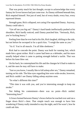That was pretty much his last thought, except to acknowledge that every fantasy he'd ever known had just come true. As Danny stiffened beneath him, Rick emptied himself. Not just of seed, but of every doubt, every fear, every repressed dream.

Strength gone, Rick collapsed, not caring if he squashed Danny. Anyway, Danny could take it.

"Get off me you big oaf." Danny's hard hands ineffectually pushed at his shoulders. Rick hardly noticed, until Danny punched him. "Seriously, Rick, you're fucking heavy."

Feeling freer than he ever had in his life, Rick laughed, shifting to the side, but not before he swooped in for a quick kiss. "I weigh the same as you."

"As if. You're all muscle. I'm all lithe sleekness."

Rick had to concede the point. Danny was built for running fast, which made him a great striker. Rick's career had been as a defender, and his mass usually helped when it came to putting strength behind a tackle. That was before his knee blew out.

On his back, he contemplated his life and the changes he'd had to make to it, and the ones he may still have to make.

"Just so you know, I usually like to fall asleep after sex," Danny remarked, turning on his side. The blue eyes regarding him were wide-awake, however, and Rick couldn't see Danny falling asleep anytime soon.

"So what's different this time?"

"This time it was with you, and you're interesting enough to keep me awake."

Not hiding his contentment—there was no point—Rick smiled. "Interesting how?"

A frown formed between Danny's brows before he reached over and ran a finger down Rick's chest. That simple touch was enough to have him wondering if Danny really intended to stay the night, and if he wasn't, how he could ask him.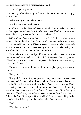"Can I ask you a question?"

Expecting to be asked why he'd never admitted to anyone he was gay, Rick nodded.

"What made you want to be a coach?"

"Really? You want to ask me that?"

As if he was reading his mind, Danny smiled. "I don't need to know why you've stayed in the closet, Rick. I understand how difficult it is to come out, especially in our profession. So don't worry about it."

With no hint of censure in Danny's tone, Rick had to take him at face value, but he wondered how long Danny would continue to allow him to keep his orientation hidden. Surely, if Danny wanted a relationship he'd eventually want to make it known? Unless Danny didn't want a relationship, and everything he'd said had been nothing but bullshit.

Not sure how to broach a subject like that, not sure he wanted to, because he didn't think he was ready to out himself, Rick answered Danny's question. "I loved soccer too much to leave it completely. And you know what they say, if you can't do, teach."

"So when you were told you could no longer play, you just decided to coach?"

"Pretty much."

"I'm glad. If it wasn't for your passion to stay in the game, I would never have met you." Danny's rich smile eased a little of the tension that had seeped back, but Rick still wasn't sure where he lay in Danny's plans. It was difficult, not having that control, not calling the shots. Danny was dominating everything between them, and Rick felt adrift, unanchored. Not a feeling he liked at all. Then Danny reached over to grab a condom from the box that had fallen to the floor. "I want you, Rick." And Rick forgot about anything else but being back inside Danny, until he realized what Danny meant.

"Oh."

"You don't want to?"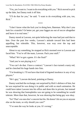"Yes, yes I want to. I want to do everything with you." Rick moved to pick up the lube, but Danny took it off him.

"I'll do that for you," he said. "I want to do everything with you, too, Rick."

\*\*\*\*

"I don't know what the fuck you're doing here, Bateman. Why don't you look for a transfer? Or better yet, get your faggot ass out of soccer altogether and leave it to real men."

Danny stared at Lawson, not quite believing the man had just said that to him. Over the past few weeks, Lawson's attitude toward him had been appalling, but tolerable. This, however, was way over the top and unacceptable.

About to say something, he stopped as Rick stormed over to Lawson and faced him. "You're off the team, Lawson. Pack your stuff."

"What? We've got a game. It's the final!"

"And you're not playing in it."

"You can't do that. I have a contract." Lawson's face turned a nasty red, and he clenched his huge hands into fists.

"I'm breaking it. I'll not have that kind of bigoted insolence in any of my players."

"He's gay," Lawson declared, pointing at Danny.

Danny watched the exchange, not surprised by Rick's defence of him, but he was surprised he was doing it in public and with so much animation. He could have taken Lawson into his office and done this in private, but instead he was showing that homophobia was not going to be something he would tolerate. More than that, however, he was showing that being gay was okay.

"So? That's no one else's concern but his. He doesn't hit on you or anyone else on the team, so why should you care?"

"I've seen the way he looks at you. It's wrong."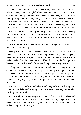Though fifteen men stood in the locker room, it went quiet as Rick turned to look at Danny. Danny thought his heart was going to stop. He hadn't pushed Rick into announcing their relationship, such as it was. They'd spent most of their nights together, but Danny always had to be careful he wasn't seen, and he was even more careful not to show any sign of how he felt whenever they were around anyone associated with the club. It hadn't been easy, but he was willing to do as Rick wanted, simply because if he didn't, he might lose him.

But the way Rick was looking at him right now, with affection and, Danny didn't want to say that was love, but he was sure it was damn close, then maybe he didn't have to be so careful in the future. Rick smiled at him, then turned back to Lawson.

"It's not wrong. It's perfectly normal. And in case you haven't noticed, I look at him the same way."

Danny was sure he would have been able to hear the proverbial pin drop if it hadn't been for one of the officials breaking the silence by wondering why the hell no one was on the pitch. Sudden pandemonium ensued as everyone made a mad dash to the tunnel that would lead them out to the final game of the season, the one that would determine if they won the league or not.

Taking one last look at Rick as he ran out with them, Danny grinned. He and Rick were due for a talk, and Danny was seriously looking forward to it. He honestly hadn't expected Rick to reveal he was gay, certainly not yet, and he hadn't intended to make Rick feel obligated to do so. But if Rick loved him, Danny wasn't going to question it, or put off making their arrangement permanent.

Just over two hours later, with cheers and congratulations still ringing in his ears and hard slaps still stinging on his back, Danny was only interested in one thing. Finding Rick.

It took a while, but he managed to corner Rick in his office. There had been a lot of celebration going on, but now most, if not all, had gone home, or to celebrate somewhere else. Rick glanced up at him as Danny entered, his smile turning into a full-on grin.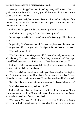"Danny!" Rick hugged him, nearly pulling Danny off his feet. "That last goal, man! It was beautiful! The way you did that scissor kick, it won us the game, you know that don't you?"

Danny grinned back, but he wasn't here to talk about his final goal of the season. "Yes, I know. But I don't care about the game. I care about what you said in the locker room."

Rick's smile dropped a little, but it was only a little. "I meant it."

"And what are you going to do about it?" Danny asked.

Something dimmed in Rick's eyes before he let Danny go. "That depends on you."

Surprised by Rick's answer, it took Danny a couple of seconds to respond. "I told you I wouldn't hurt you, Rick. I told you I'd found the man I wanted."

"You really mean that?"

"You know I do, otherwise you wouldn't have admitted you were gay to all and sundry. You came out because of me. Only because of me." Danny put himself back into the circle of Rick's arms. "You love me, don't you?"

Rick's gaze didn't shift as he nodded. "Yes, but I wasn't sure you'd want a man who still hid behind closed doors."

"You're not behind closed doors any longer." Danny laughed, leaning in to kiss Rick, tasting the man he'd lusted after for months, and now had forever. "You should have seen Lawson's face," he said as he released Rick's mouth.

"I did, but I didn't care about Lawson's reaction. I only cared about yours."

"And what reaction were you hoping for?"

Rick's smile gave Danny his answer, but Rick told him anyway. "I saw how proud you were of me. How much my coming out meant to you. I don't want to hurt you either, Danny, remember?"

"You won't. You haven't." Sliding his arms around Rick's neck, Danny laid claim to Rick's mouth once more, knowing this was the man who was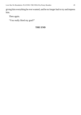giving him everything he ever wanted, and he no longer had to try and impress him.

Then again.

"You really liked my goal?"

#### **THE END**